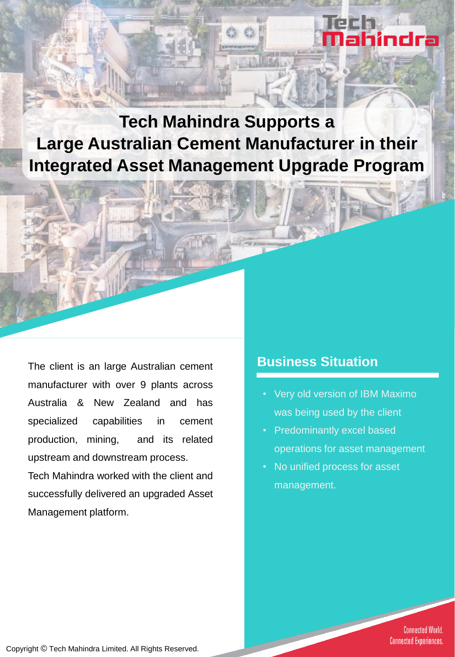**Tech Mahindra Supports a Large Australian Cement Manufacturer in their Integrated Asset Management Upgrade Program** 

The client is an large Australian cement manufacturer with over 9 plants across Australia & New Zealand and has specialized capabilities in cement production, mining, and its related upstream and downstream process.

Tech Mahindra worked with the client and successfully delivered an upgraded Asset Management platform.

### **Business Situation**

• Very old version of IBM Maximo was being used by the client

hindra

- Predominantly excel based operations for asset management
- No unified process for asset management.

**Connected World. Connected Experiences.** 

Copyright © Tech Mahindra Limited. All Rights Reserved.